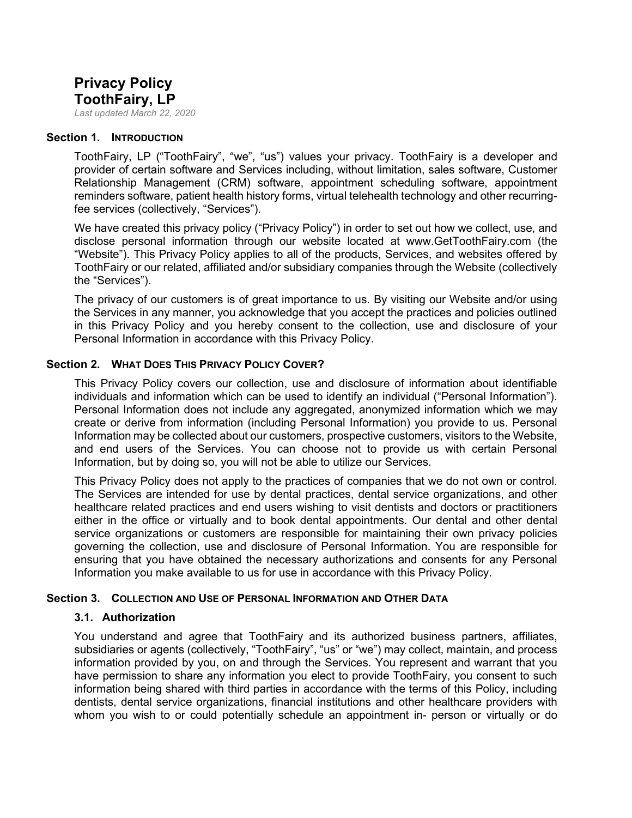# **Privacy Policy ToothFairy, LP**

*Last updated March 22, 2020*

#### **Section 1. INTRODUCTION**

ToothFairy, LP ("ToothFairy", "we", "us") values your privacy. ToothFairy is a developer and provider of certain software and Services including, without limitation, sales software, Customer Relationship Management (CRM) software, appointment scheduling software, appointment reminders software, patient health history forms, virtual telehealth technology and other recurringfee services (collectively, "Services").

We have created this privacy policy ("Privacy Policy") in order to set out how we collect, use, and disclose personal information through our website located at www.GetToothFairy.com (the "Website"). This Privacy Policy applies to all of the products, Services, and websites offered by ToothFairy or our related, affiliated and/or subsidiary companies through the Website (collectively the "Services").

The privacy of our customers is of great importance to us. By visiting our Website and/or using the Services in any manner, you acknowledge that you accept the practices and policies outlined in this Privacy Policy and you hereby consent to the collection, use and disclosure of your Personal Information in accordance with this Privacy Policy.

#### **Section 2. WHAT DOES THIS PRIVACY POLICY COVER?**

This Privacy Policy covers our collection, use and disclosure of information about identifiable individuals and information which can be used to identify an individual ("Personal Information"). Personal Information does not include any aggregated, anonymized information which we may create or derive from information (including Personal Information) you provide to us. Personal Information may be collected about our customers, prospective customers, visitors to the Website, and end users of the Services. You can choose not to provide us with certain Personal Information, but by doing so, you will not be able to utilize our Services.

This Privacy Policy does not apply to the practices of companies that we do not own or control. The Services are intended for use by dental practices, dental service organizations, and other healthcare related practices and end users wishing to visit dentists and doctors or practitioners either in the office or virtually and to book dental appointments. Our dental and other dental service organizations or customers are responsible for maintaining their own privacy policies governing the collection, use and disclosure of Personal Information. You are responsible for ensuring that you have obtained the necessary authorizations and consents for any Personal Information you make available to us for use in accordance with this Privacy Policy.

#### **Section 3. COLLECTION AND USE OF PERSONAL INFORMATION AND OTHER DATA**

#### **3.1. Authorization**

You understand and agree that ToothFairy and its authorized business partners, affiliates, subsidiaries or agents (collectively, "ToothFairy", "us" or "we") may collect, maintain, and process information provided by you, on and through the Services. You represent and warrant that you have permission to share any information you elect to provide ToothFairy, you consent to such information being shared with third parties in accordance with the terms of this Policy, including dentists, dental service organizations, financial institutions and other healthcare providers with whom you wish to or could potentially schedule an appointment in- person or virtually or do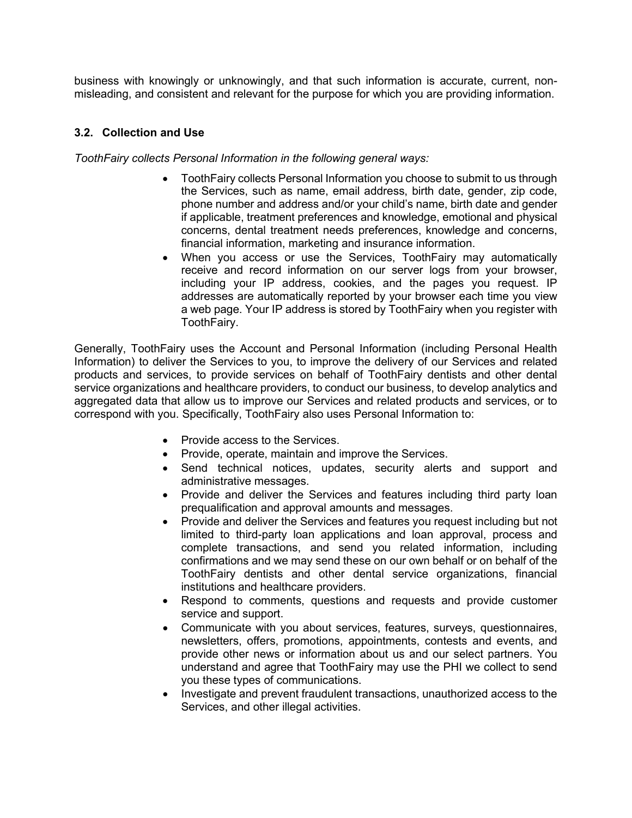business with knowingly or unknowingly, and that such information is accurate, current, nonmisleading, and consistent and relevant for the purpose for which you are providing information.

### **3.2. Collection and Use**

*ToothFairy collects Personal Information in the following general ways:*

- ToothFairy collects Personal Information you choose to submit to us through the Services, such as name, email address, birth date, gender, zip code, phone number and address and/or your child's name, birth date and gender if applicable, treatment preferences and knowledge, emotional and physical concerns, dental treatment needs preferences, knowledge and concerns, financial information, marketing and insurance information.
- When you access or use the Services, ToothFairy may automatically receive and record information on our server logs from your browser, including your IP address, cookies, and the pages you request. IP addresses are automatically reported by your browser each time you view a web page. Your IP address is stored by ToothFairy when you register with ToothFairy.

Generally, ToothFairy uses the Account and Personal Information (including Personal Health Information) to deliver the Services to you, to improve the delivery of our Services and related products and services, to provide services on behalf of ToothFairy dentists and other dental service organizations and healthcare providers, to conduct our business, to develop analytics and aggregated data that allow us to improve our Services and related products and services, or to correspond with you. Specifically, ToothFairy also uses Personal Information to:

- Provide access to the Services.
- Provide, operate, maintain and improve the Services.
- Send technical notices, updates, security alerts and support and administrative messages.
- Provide and deliver the Services and features including third party loan prequalification and approval amounts and messages.
- Provide and deliver the Services and features you request including but not limited to third-party loan applications and loan approval, process and complete transactions, and send you related information, including confirmations and we may send these on our own behalf or on behalf of the ToothFairy dentists and other dental service organizations, financial institutions and healthcare providers.
- Respond to comments, questions and requests and provide customer service and support.
- Communicate with you about services, features, surveys, questionnaires, newsletters, offers, promotions, appointments, contests and events, and provide other news or information about us and our select partners. You understand and agree that ToothFairy may use the PHI we collect to send you these types of communications.
- Investigate and prevent fraudulent transactions, unauthorized access to the Services, and other illegal activities.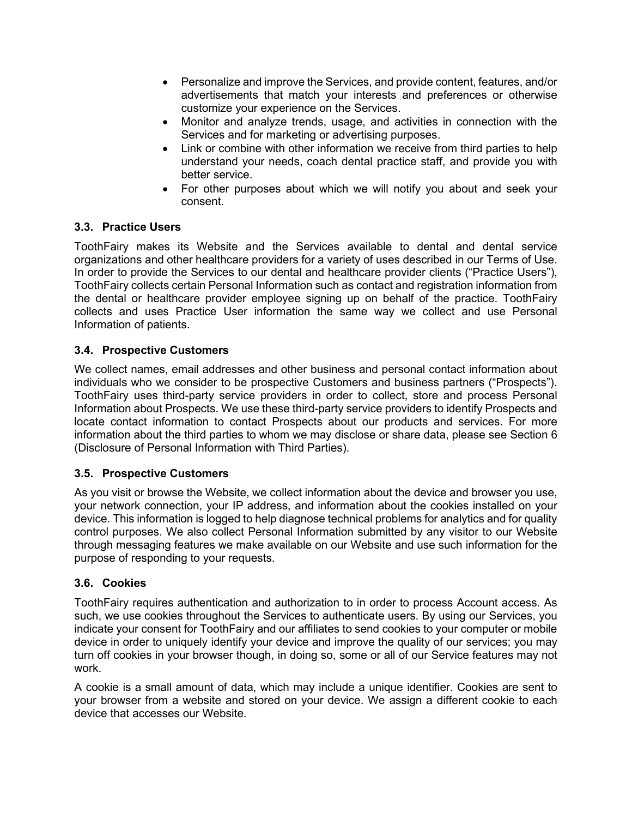- Personalize and improve the Services, and provide content, features, and/or advertisements that match your interests and preferences or otherwise customize your experience on the Services.
- Monitor and analyze trends, usage, and activities in connection with the Services and for marketing or advertising purposes.
- Link or combine with other information we receive from third parties to help understand your needs, coach dental practice staff, and provide you with better service.
- For other purposes about which we will notify you about and seek your consent.

# **3.3. Practice Users**

ToothFairy makes its Website and the Services available to dental and dental service organizations and other healthcare providers for a variety of uses described in our Terms of Use. In order to provide the Services to our dental and healthcare provider clients ("Practice Users"), ToothFairy collects certain Personal Information such as contact and registration information from the dental or healthcare provider employee signing up on behalf of the practice. ToothFairy collects and uses Practice User information the same way we collect and use Personal Information of patients.

# **3.4. Prospective Customers**

We collect names, email addresses and other business and personal contact information about individuals who we consider to be prospective Customers and business partners ("Prospects"). ToothFairy uses third-party service providers in order to collect, store and process Personal Information about Prospects. We use these third-party service providers to identify Prospects and locate contact information to contact Prospects about our products and services. For more information about the third parties to whom we may disclose or share data, please see Section 6 (Disclosure of Personal Information with Third Parties).

### **3.5. Prospective Customers**

As you visit or browse the Website, we collect information about the device and browser you use, your network connection, your IP address, and information about the cookies installed on your device. This information is logged to help diagnose technical problems for analytics and for quality control purposes. We also collect Personal Information submitted by any visitor to our Website through messaging features we make available on our Website and use such information for the purpose of responding to your requests.

### **3.6. Cookies**

ToothFairy requires authentication and authorization to in order to process Account access. As such, we use cookies throughout the Services to authenticate users. By using our Services, you indicate your consent for ToothFairy and our affiliates to send cookies to your computer or mobile device in order to uniquely identify your device and improve the quality of our services; you may turn off cookies in your browser though, in doing so, some or all of our Service features may not work.

A cookie is a small amount of data, which may include a unique identifier. Cookies are sent to your browser from a website and stored on your device. We assign a different cookie to each device that accesses our Website.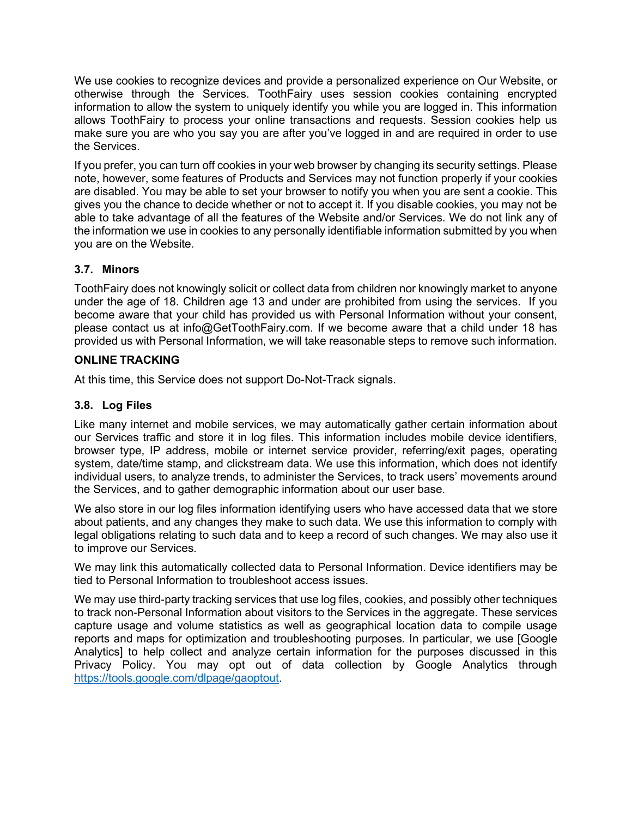We use cookies to recognize devices and provide a personalized experience on Our Website, or otherwise through the Services. ToothFairy uses session cookies containing encrypted information to allow the system to uniquely identify you while you are logged in. This information allows ToothFairy to process your online transactions and requests. Session cookies help us make sure you are who you say you are after you've logged in and are required in order to use the Services.

If you prefer, you can turn off cookies in your web browser by changing its security settings. Please note, however, some features of Products and Services may not function properly if your cookies are disabled. You may be able to set your browser to notify you when you are sent a cookie. This gives you the chance to decide whether or not to accept it. If you disable cookies, you may not be able to take advantage of all the features of the Website and/or Services. We do not link any of the information we use in cookies to any personally identifiable information submitted by you when you are on the Website.

# **3.7. Minors**

ToothFairy does not knowingly solicit or collect data from children nor knowingly market to anyone under the age of 18. Children age 13 and under are prohibited from using the services. If you become aware that your child has provided us with Personal Information without your consent, please contact us at info@GetToothFairy.com. If we become aware that a child under 18 has provided us with Personal Information, we will take reasonable steps to remove such information.

# **ONLINE TRACKING**

At this time, this Service does not support Do-Not-Track signals.

# **3.8. Log Files**

Like many internet and mobile services, we may automatically gather certain information about our Services traffic and store it in log files. This information includes mobile device identifiers, browser type, IP address, mobile or internet service provider, referring/exit pages, operating system, date/time stamp, and clickstream data. We use this information, which does not identify individual users, to analyze trends, to administer the Services, to track users' movements around the Services, and to gather demographic information about our user base.

We also store in our log files information identifying users who have accessed data that we store about patients, and any changes they make to such data. We use this information to comply with legal obligations relating to such data and to keep a record of such changes. We may also use it to improve our Services.

We may link this automatically collected data to Personal Information. Device identifiers may be tied to Personal Information to troubleshoot access issues.

We may use third-party tracking services that use log files, cookies, and possibly other techniques to track non-Personal Information about visitors to the Services in the aggregate. These services capture usage and volume statistics as well as geographical location data to compile usage reports and maps for optimization and troubleshooting purposes. In particular, we use [Google Analytics] to help collect and analyze certain information for the purposes discussed in this Privacy Policy. You may opt out of data collection by Google Analytics through [https://tools.google.com/dlpage/gaoptout.](https://tools.google.com/dlpage/gaoptout)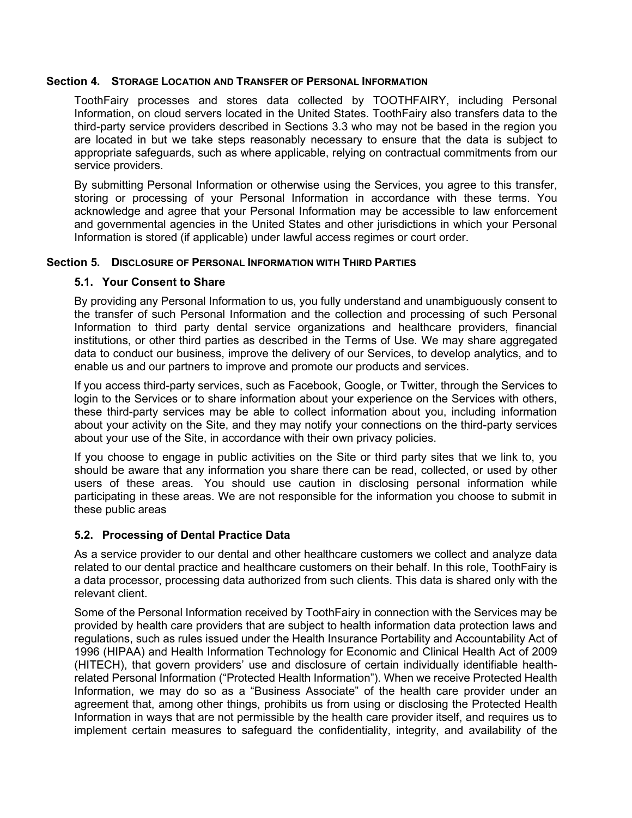#### **Section 4. STORAGE LOCATION AND TRANSFER OF PERSONAL INFORMATION**

ToothFairy processes and stores data collected by TOOTHFAIRY, including Personal Information, on cloud servers located in the United States. ToothFairy also transfers data to the third-party service providers described in Sections 3.3 who may not be based in the region you are located in but we take steps reasonably necessary to ensure that the data is subject to appropriate safeguards, such as where applicable, relying on contractual commitments from our service providers.

By submitting Personal Information or otherwise using the Services, you agree to this transfer, storing or processing of your Personal Information in accordance with these terms. You acknowledge and agree that your Personal Information may be accessible to law enforcement and governmental agencies in the United States and other jurisdictions in which your Personal Information is stored (if applicable) under lawful access regimes or court order.

#### **Section 5. DISCLOSURE OF PERSONAL INFORMATION WITH THIRD PARTIES**

### **5.1. Your Consent to Share**

By providing any Personal Information to us, you fully understand and unambiguously consent to the transfer of such Personal Information and the collection and processing of such Personal Information to third party dental service organizations and healthcare providers, financial institutions, or other third parties as described in the Terms of Use. We may share aggregated data to conduct our business, improve the delivery of our Services, to develop analytics, and to enable us and our partners to improve and promote our products and services.

If you access third-party services, such as Facebook, Google, or Twitter, through the Services to login to the Services or to share information about your experience on the Services with others, these third-party services may be able to collect information about you, including information about your activity on the Site, and they may notify your connections on the third-party services about your use of the Site, in accordance with their own privacy policies.

If you choose to engage in public activities on the Site or third party sites that we link to, you should be aware that any information you share there can be read, collected, or used by other users of these areas. You should use caution in disclosing personal information while participating in these areas. We are not responsible for the information you choose to submit in these public areas

### **5.2. Processing of Dental Practice Data**

As a service provider to our dental and other healthcare customers we collect and analyze data related to our dental practice and healthcare customers on their behalf. In this role, ToothFairy is a data processor, processing data authorized from such clients. This data is shared only with the relevant client.

Some of the Personal Information received by ToothFairy in connection with the Services may be provided by health care providers that are subject to health information data protection laws and regulations, such as rules issued under the Health Insurance Portability and Accountability Act of 1996 (HIPAA) and Health Information Technology for Economic and Clinical Health Act of 2009 (HITECH), that govern providers' use and disclosure of certain individually identifiable healthrelated Personal Information ("Protected Health Information"). When we receive Protected Health Information, we may do so as a "Business Associate" of the health care provider under an agreement that, among other things, prohibits us from using or disclosing the Protected Health Information in ways that are not permissible by the health care provider itself, and requires us to implement certain measures to safeguard the confidentiality, integrity, and availability of the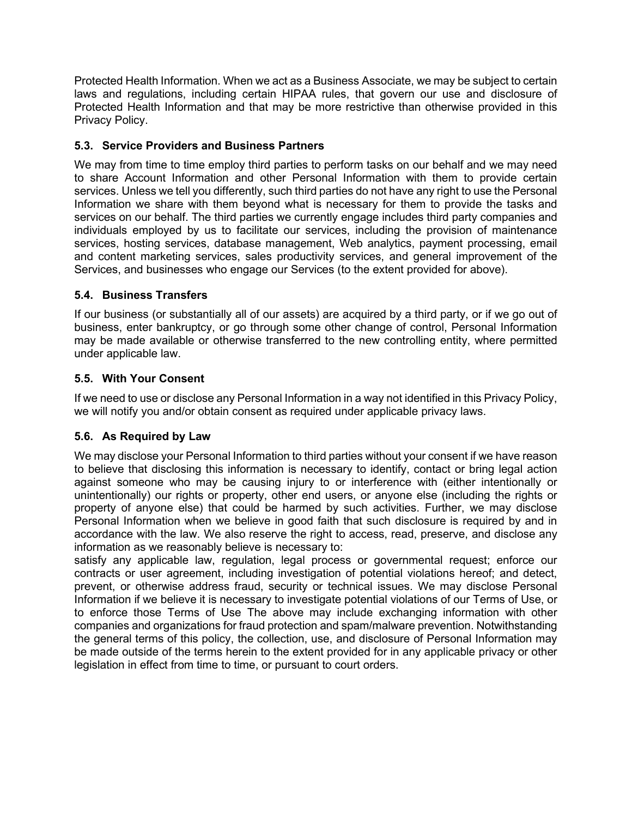Protected Health Information. When we act as a Business Associate, we may be subject to certain laws and regulations, including certain HIPAA rules, that govern our use and disclosure of Protected Health Information and that may be more restrictive than otherwise provided in this Privacy Policy.

# **5.3. Service Providers and Business Partners**

We may from time to time employ third parties to perform tasks on our behalf and we may need to share Account Information and other Personal Information with them to provide certain services. Unless we tell you differently, such third parties do not have any right to use the Personal Information we share with them beyond what is necessary for them to provide the tasks and services on our behalf. The third parties we currently engage includes third party companies and individuals employed by us to facilitate our services, including the provision of maintenance services, hosting services, database management, Web analytics, payment processing, email and content marketing services, sales productivity services, and general improvement of the Services, and businesses who engage our Services (to the extent provided for above).

# **5.4. Business Transfers**

If our business (or substantially all of our assets) are acquired by a third party, or if we go out of business, enter bankruptcy, or go through some other change of control, Personal Information may be made available or otherwise transferred to the new controlling entity, where permitted under applicable law.

# **5.5. With Your Consent**

If we need to use or disclose any Personal Information in a way not identified in this Privacy Policy, we will notify you and/or obtain consent as required under applicable privacy laws.

# **5.6. As Required by Law**

We may disclose your Personal Information to third parties without your consent if we have reason to believe that disclosing this information is necessary to identify, contact or bring legal action against someone who may be causing injury to or interference with (either intentionally or unintentionally) our rights or property, other end users, or anyone else (including the rights or property of anyone else) that could be harmed by such activities. Further, we may disclose Personal Information when we believe in good faith that such disclosure is required by and in accordance with the law. We also reserve the right to access, read, preserve, and disclose any information as we reasonably believe is necessary to:

satisfy any applicable law, regulation, legal process or governmental request; enforce our contracts or user agreement, including investigation of potential violations hereof; and detect, prevent, or otherwise address fraud, security or technical issues. We may disclose Personal Information if we believe it is necessary to investigate potential violations of our Terms of Use, or to enforce those Terms of Use The above may include exchanging information with other companies and organizations for fraud protection and spam/malware prevention. Notwithstanding the general terms of this policy, the collection, use, and disclosure of Personal Information may be made outside of the terms herein to the extent provided for in any applicable privacy or other legislation in effect from time to time, or pursuant to court orders.